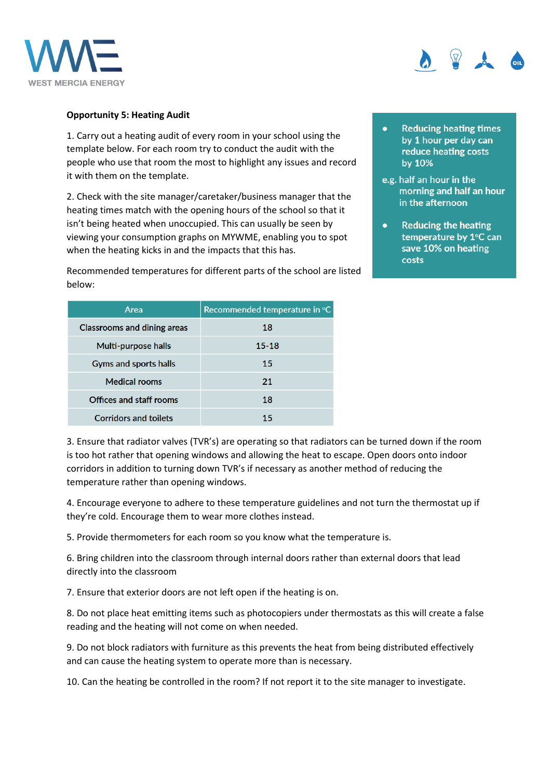



## **Opportunity 5: Heating Audit**

1. Carry out a heating audit of every room in your school using the template below. For each room try to conduct the audit with the people who use that room the most to highlight any issues and record it with them on the template.

2. Check with the site manager/caretaker/business manager that the heating times match with the opening hours of the school so that it isn't being heated when unoccupied. This can usually be seen by viewing your consumption graphs on MYWME, enabling you to spot when the heating kicks in and the impacts that this has.

Recommended temperatures for different parts of the school are listed below:

| Area                               | Recommended temperature in °C |  |
|------------------------------------|-------------------------------|--|
| <b>Classrooms and dining areas</b> | 18                            |  |
| Multi-purpose halls                | $15 - 18$                     |  |
| Gyms and sports halls              | 15                            |  |
| <b>Medical rooms</b>               | 21                            |  |
| <b>Offices and staff rooms</b>     | 18                            |  |
| <b>Corridors and toilets</b>       | 15                            |  |

- **Reducing heating times** by 1 hour per day can reduce heating costs by 10%
- e.g. half an hour in the morning and half an hour in the afternoon
- **Reducing the heating** temperature by 1°C can save 10% on heating costs

3. Ensure that radiator valves (TVR's) are operating so that radiators can be turned down if the room is too hot rather that opening windows and allowing the heat to escape. Open doors onto indoor corridors in addition to turning down TVR's if necessary as another method of reducing the temperature rather than opening windows.

4. Encourage everyone to adhere to these temperature guidelines and not turn the thermostat up if they're cold. Encourage them to wear more clothes instead.

5. Provide thermometers for each room so you know what the temperature is.

6. Bring children into the classroom through internal doors rather than external doors that lead directly into the classroom

7. Ensure that exterior doors are not left open if the heating is on.

8. Do not place heat emitting items such as photocopiers under thermostats as this will create a false reading and the heating will not come on when needed.

9. Do not block radiators with furniture as this prevents the heat from being distributed effectively and can cause the heating system to operate more than is necessary.

10. Can the heating be controlled in the room? If not report it to the site manager to investigate.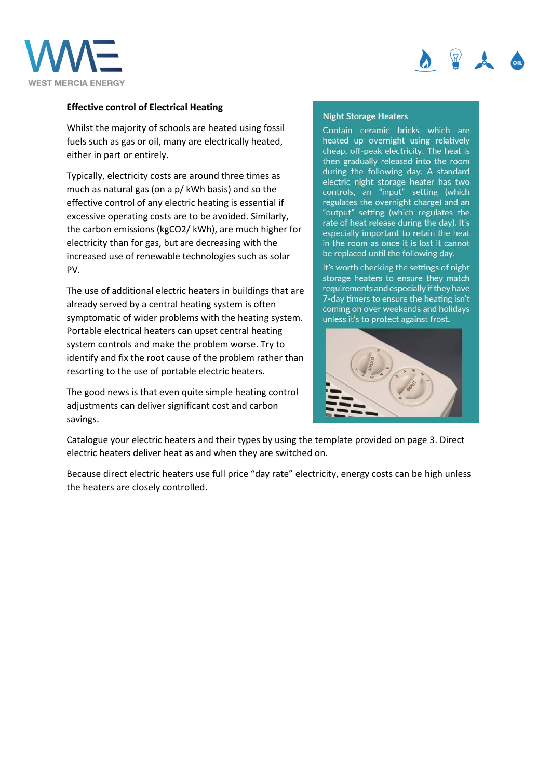



## **Effective control of Electrical Heating**

Whilst the majority of schools are heated using fossil fuels such as gas or oil, many are electrically heated, either in part or entirely.

Typically, electricity costs are around three times as much as natural gas (on a p/ kWh basis) and so the effective control of any electric heating is essential if excessive operating costs are to be avoided. Similarly, the carbon emissions (kgCO2/ kWh), are much higher for electricity than for gas, but are decreasing with the increased use of renewable technologies such as solar PV.

The use of additional electric heaters in buildings that are already served by a central heating system is often symptomatic of wider problems with the heating system. Portable electrical heaters can upset central heating system controls and make the problem worse. Try to identify and fix the root cause of the problem rather than resorting to the use of portable electric heaters.

The good news is that even quite simple heating control adjustments can deliver significant cost and carbon savings.

## **Night Storage Heaters**

Contain ceramic bricks which are heated up overnight using relatively cheap, off-peak electricity. The heat is then gradually released into the room during the following day. A standard electric night storage heater has two<br>controls, an "input" setting (which<br>regulates the overnight charge) and an "output" setting (which regulates the rate of heat release during the day). It's especially important to retain the heat in the room as once it is lost it cannot be replaced until the following day.

It's worth checking the settings of night storage heaters to ensure they match requirements and especially if they have 7-day timers to ensure the heating isn't coming on over weekends and holidays unless it's to protect against frost.



Catalogue your electric heaters and their types by using the template provided on page 3. Direct electric heaters deliver heat as and when they are switched on.

Because direct electric heaters use full price "day rate" electricity, energy costs can be high unless the heaters are closely controlled.